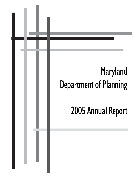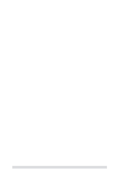$\mathcal{L}^{\text{max}}_{\text{max}}$  and  $\mathcal{L}^{\text{max}}_{\text{max}}$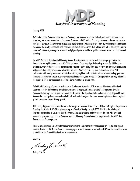

January, 2006

As Secretary of the Maryland Department of Planning, I am honored to work with local governments, the citizens of Maryland, and private enterprises to implement Governor Ehrlich's vision of creating solutions for better and smarter land use in our State and preserving its past as a legacy to the Marylanders of tomorrow. By working to implement and coordinate the fiscally responsible and innovative policies of the Governor, MDP takes a lead role in helping to preserve Maryland's resources, manage her economic and physical growth, and foster public awareness about the importance of planning.

The 2005 Maryland Department of Planning Annual Report provides an overview of the many programs that the dependable and highly professional staff of MDP performs. The principal goal of the Department for 2005 was to continue our commitment of enhancing the strong relationships we enjoy with local government entities, vital planning and private stakeholder groups, and other State agencies. As communities continue to evolve and grow, MDP collaborates with local governments to revitalize existing neighborhoods, optimize infrastructure spending, preserve farmland and historical treasures, create transportation solutions, and protect the Chesapeake Bay, thereby enhancing the quality of life in our communities and ensuring a great future for our State.

To fulfill MDP's charge of proactive assistance, in October and November, MDP, in partnership with the Maryland Department of the Environment, hosted four workshops throughout Maryland entitled Challenges of a Growing Maryland: Balancing Land Use and Environmental Decisions. The department also staffed a series of Regional Growth Summits for municipal and county elected officials and staff throughout the State, presenting information on regional growth trends and factors driving growth.

Additionally, big news in 2005 was the successful merger of Maryland Historic Trust (MHT) with Maryland Department of Planning. In October MHT officially became a part of the MDP family. In early 2005, MDP had the privilege of implementing the first of Governor Ehrlich's Priority Place designations, and throughout the year, MDP provided substantial program support to the Maryland Strategic Planning Military Council in preparation for the 2005 Base Relocation and Closure process.

These accomplishments are a few of the many programs and projects that MDP has administered in the past twelve months, detailed in this Annual Report. I encourage you to use this report to learn about MDP and the valuable services it provides to the State of Maryland and its communities.

Sincerely,

Audrey E. Scott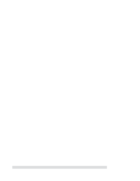$\label{eq:2.1} \frac{1}{\sqrt{2}}\int_{0}^{2\pi} \frac{1}{\sqrt{2}}\left(\frac{1}{\sqrt{2}}\right)^{2} \left(\frac{1}{\sqrt{2}}\right)^{2} \left(\frac{1}{\sqrt{2}}\right)^{2} \left(\frac{1}{\sqrt{2}}\right)^{2} \left(\frac{1}{\sqrt{2}}\right)^{2} \left(\frac{1}{\sqrt{2}}\right)^{2} \left(\frac{1}{\sqrt{2}}\right)^{2} \left(\frac{1}{\sqrt{2}}\right)^{2} \left(\frac{1}{\sqrt{2}}\right)^{2} \left(\frac{1}{\sqrt{2}}\right)^{2} \$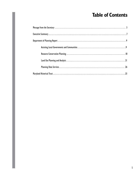# **Table of Contents**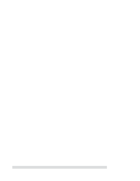$\label{eq:2.1} \frac{1}{\sqrt{2}}\int_{0}^{2\pi} \frac{1}{\sqrt{2}}\left(\frac{1}{\sqrt{2}}\right)^{2} \left(\frac{1}{\sqrt{2}}\right)^{2} \left(\frac{1}{\sqrt{2}}\right)^{2} \left(\frac{1}{\sqrt{2}}\right)^{2} \left(\frac{1}{\sqrt{2}}\right)^{2} \left(\frac{1}{\sqrt{2}}\right)^{2} \left(\frac{1}{\sqrt{2}}\right)^{2} \left(\frac{1}{\sqrt{2}}\right)^{2} \left(\frac{1}{\sqrt{2}}\right)^{2} \left(\frac{1}{\sqrt{2}}\right)^{2} \$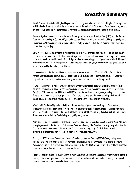# Executive Summary

The 2005 Annual Report of the Maryland Department of Planning is an informational tool for Maryland State legislators and Maryland citizens and describes the scope and breadth of the work of the Department. The activities, programs and projects of MDP foster the goals of the State of Maryland and ascribe to the needs and prosperity of its citizens.

The most significant news of 2005 was the successful merger of the Maryland Historical Trust (MHT) with the Maryland Department of Planning. In October, MHT, which includes the Division of Historical and Cultural Programs (HCP) and the Commission on African American History and Culture, officially became a part of MDP following a smooth transition process that began in July.

Early in 2005, MDP had the privilege of implementing the first of Governor Ehrlich's Priority Places designations. This program, created by executive order, focuses on interagency coordination and cooperation to encourage revitalization projects in established neighborhoods. Areas designated thus far are the Poppleton neighborhood in West Baltimore City and the Leonardtown Wharf development in St. Mary's County. Later in the year, Governor Ehrlich designated the cities of Hyattsville and Crisfield also Priority Places.

In conjunction with the Maryland Municipal League and Maryland Association of Counties, MDP staffed a series of Regional Growth Summits for municipal and county elected officials and staff throughout the State. The Department prepared and presented information on regional growth trends and factors that are driving growth.

In October and November, MDP, in proactive partnership with the Maryland Department of the Environment (MDE), hosted four statewide workshops entitled Challenges of a Growing Maryland: Balancing Land Use and Environmental Decisions. MDE Secretary Kendal Philbrick and MDP Secretary Audrey Scott joined together, traveling throughout the State to present information to local government officials and core constituencies about planning. MDP and MDE's shared focus was on the critical need for earlier and preventive planning coordination in the State.

Working with Baltimore City and stakeholders in the surrounding neighborhoods, the Maryland Departments of Transportation, Planning and General Services developed a strategy to guide future development and redevelopment around State Center in Baltimore. The project entails Transit Oriented Development (TOD) of an underutilized 25-acre State-owned site that includes five buildings and 1,300 parking spaces.

Addressing the need for planned and affordable housing, and as a result of an October, 2005 Executive Order, MDP began managing the work of the Governor's Task Force on Work Force Housing. The Work Force Housing study will review the findings and recommendations of the Governor's Commission on Housing Policy. The Task Force is scheduled to complete its assignment by July, 2006 with a report to follow in September, 2006.

Building on MDP's work on Department of Defense Base Realignment and Closure (BRAC) in 2004, the Department suggested and developed policy to assist the Maryland Strategic Planning Military Council in its efforts to prepare Maryland's federal military installations and communities for the 2005 BRAC process. This work helped lay a foundation to ensure a positive, long-term growth outcome for the State.

Finally and possibly most significantly, among its many and varied activities and programs, MDP continued to expand its capacity to assist local governments and constituents in effective and comprehensive land use planning. The span of these programs and projects is detailed in this Annual Report.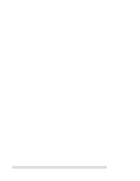$\label{eq:2.1} \frac{1}{\sqrt{2}}\int_{0}^{2\pi} \frac{1}{\sqrt{2}}\left(\frac{1}{\sqrt{2}}\right)^{2} \left(\frac{1}{\sqrt{2}}\right)^{2} \left(\frac{1}{\sqrt{2}}\right)^{2} \left(\frac{1}{\sqrt{2}}\right)^{2} \left(\frac{1}{\sqrt{2}}\right)^{2} \left(\frac{1}{\sqrt{2}}\right)^{2} \left(\frac{1}{\sqrt{2}}\right)^{2} \left(\frac{1}{\sqrt{2}}\right)^{2} \left(\frac{1}{\sqrt{2}}\right)^{2} \left(\frac{1}{\sqrt{2}}\right)^{2} \$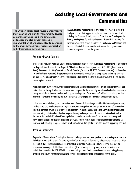# Assisting Local Governments And **Communities**

The Division helped local governments improve their planning and growth management, develop comprehensive plans and implementation ordinances and also directly assisted in implementation of projects related to economic and tourism development, resource protection and infrastructure development.

In 2005, the Local Planning Division provided a wide range of services to local governments that support State planning polices at the local level including the Economic Growth, Resource Protection and Planning Act, the Priority Funding Areas Act and the Chesapeake Bay Critical Areas Act. The Department's regional offices in Centerville, Cumberland and Salisbury and the main office in Baltimore provided assistance to local governments, businesses, organizations and the general public.

# Regional Growth Summits

Working with Maryland Municipal League and Maryland Association of Counties, the Local Planning Division coordinated five Regional Growth Summits held August 4, 2005 (Lower Eastern Shore Region), August 25, 2005 (Upper Eastern Shore), September 15, 2005 (Frederick and Carroll Counties), September 22, 2005 (Southern Maryland) and November 10, 2005 (Western Maryland). The growth summits represented a strong effort to bring elected and/or key appointed officials and representatives from planning entities and school boards together to discuss growth and its implications from a regional perspective.

At the Regional Growth Summits, the Department prepared and presented information on regional growth trends and factors that are driving development. The intent was to expand the discussion of growth beyond individual municipal or county boundaries to demonstrate how entire regions are impacted. Department staff utilized population projections and other information provided by the MDP's State Data Center to present generalized trends in each region.

In breakout sessions following the presentation, most of the small discussion groups identified their unique character, rural resources and small towns of each region as the areas most poised for development yet in need of preservation. They also identified strategies to preserve these endangered resources and cultural icons. Suggested actions included improved interjurisdictional coordination, improved zoning and design standards, better educational outreach to decision makers and clarification of State regulations. Participants noted the usefulness of personal meeting and networking with other officials and discussions on mutual growth-related issues facing each of the jurisdictions. An increased understanding of regional growth trends was achieved through MDP's presentation and supporting materials.

# Technical Assistance

Regional staff from the Local Planning Division continued to provide a wide range of technical planning assistance on a daily basis to local jurisdictions. The three regional offices are located in Centerville, Salisbury and Cumberland. Often the focus of MDP's technical assistance concentrated on acting as a value added resource to towns that have no professional planning staff. The Upper Eastern Shore (UES), for example, is a growing area of the State whose jurisdictions depend on the MDP UES office in a wide variety of ways. Staff answered questions concerning planning principles and growth management issues and provided assistance in helping them address growth issues.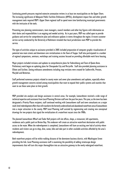Continuing growth pressures required extensive annexation reviews in at least ten municipalities on the Upper Shore. The increasing significance of Adequate Public Facilities Ordinances (APFOs), development impact fees and other growth management tools required MDP's Upper Shore regional staff to spend more time familiarizing municipal governments with the intricacies of the tools.

Presenting new planning commissioners, town managers, council members and other key figures with information on their duties and responsibilities is an ongoing and needed activity. As in past years, MDP was called upon to provide guidance and service for comprehensive plan and ordinance updates in towns throughout the region. A recent customer service survey conducted by the University of Baltimore revealed that local jurisdictions want MDP to provide this service.

The types of activities unique to assistance provided in 2005 included preparation of computer graphic visualizations of potential new main streets and downtown core revitalizations in the Town of Trappe. Staff also participated in a number of regional symposiums, seminars, workshops and training sessions focused on providing affordable work force housing.

Major projects included revisions and updates to comprehensive plans for Federalsburg and Town of Queen Anne. Preliminary work began on updating plans for Chesapeake City and Perryville. Staff also provided planning assistance to Elkton and Cecilton. Zoning ordinance amendments including map revisions were created for Sudlersville, Preston, Marydel and Betterton.

Staff performed numerous projects related to county water and sewer plan amendments and updates, especially where growth management concerns existed among municipalities that want to expand their public systems and counties that want to use those same plans to limit growth.

MDP provided site analysis and design assistance in several areas. For example, Leonardtown received a wide range of technical expertise and assistance from Local Planning Division staff over the past few years. This year, as the town has been designated a Priority Places recipient, staff continued working with Leonardtown staff and town consultants on a major multi-level redevelopment effort that will transform the formerly underutilized and abandoned waterfront area of Leonardtown into a major attraction in the county. MDP Local Planning staff assisted by regenerating and creating new conceptual drawings for two projects that signal the revitalization of a waterfront vacant since the 1980s.

The planned Leonardtown Wharf and Tudor Hall projects will site offices, shops, a restaurant, loft apartments, residences and a public park on Breton Bay. This endeavor will create an attractive waterfront destination with public access to the water. When the redevelopment is completed, Leonardtown will have an exciting new hub of activity where residents and visitors can go to shop, dine, canoe, bike and take part in other available activities afforded by the area's redevelopment.

Both waterfront projects will be within walking distance of the downtown business district, with Washington Street providing the link. Local Planning assistance staff is examining the possibility of adding streetscape design improvements that will turn this major thoroughfare into an attractive gateway to the newly redesigned waterfront.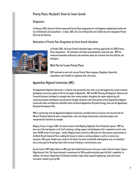# Priority Places: Maryland's Vision for Smart Growth

**Designations** 

In February 2005, Governor Ehrlich announced Priority Places designations for the Poppleton neighborhood (within the City of Baltimore) and Leonardtown. In April, 2005, the cities of Hyattsville and Crisfield also were designated Priority Places by the Governor.

Nominations of Priority Place Designations by Smart Growth Subcabinet



In October 2005, the Smart Growth Subcabinet began reviewing applications for 2006 Priority Places designations. The Subcabinet will make recommendations early next year. MDP has witnessed tremendous enthusiasm and excitement about this initiative from local officials and developers.

Work Plan for Current Priority Places

MDP continued to work with current Priority Places designees (Poppleton, Hyattsville, Leonardtown and Crisfield) to implement their work plans.

# Appalachian Regional Commission (ARC)

The Appalachian Regional Commission is a federal-state partnership that works to provide opportunity, sustain economic development and assure quality of life for the people of Appalachia. MDP and ARC Planning, Development, Technical and Financial Assistance developed or managed more than seventy projects throughout the region emphasizing selfsustaining economic development and job growth through consistency with State policies and the Appalachian Regional Commission Goals and Objectives identified within the Annual Appalachian Maryland Strategy State and the Appalachian Maryland Development Plan.

MDP, in partnership with the Appalachian Regional Commission, provided technical assistance and secured funds for Western Maryland industrial parks, transportation, water and sewage infrastructure, education projects and entrepreneurial initiatives by example.

Allegany County: In August 2005, the newest section of the Allegheny Highlands Trail of Maryland, opened. MDP has been one of the lead agencies in the Trail's planning, funding support and development that is expected to attract more than 150,000 visitors to the region. Further, Allegany County received an ARC grant for infrastructure improvements to the North Branch Industrial Park, enabling the County to retain an existing employer as well as to attract new businesses. ARC grants funded access roads for the Queen City Center brownfields redevelopment area in Cumberland and a streetscape for Broadway Street which accesses Frostburg's central business area.

Garrett County: MDP helped obtain an ARC grant that funded infrastructure and access roads in Garrett County's Keysers Ridge Business Park. The County obtained a commitment for 200 manufacturing jobs upon the Park's completion. In addition, the County's Department of Education initiated a high school computer engineering, math and science curriculum, funded in part by ARC.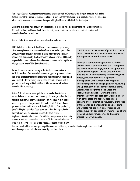Washington County: Washington County obtained funding through ARC to expand the Newgate Industrial Park and to fund an innovative program to increase enrollment in post-secondary education. These funds also funded the expansion of successful wireless communications through the Maryland Mountainside Kiosk Tourism Project.

Additional assistance: MDP and ARC provided assistance to the business development and Main Street Programs in Oakland, Frostburg and Cumberland. This aid directly impacts entrepreneurial development, job creation and revitalization efforts in each city.

### Circuit Rider Assistance - Chesapeake Bay Critical Areas law

MDP staff often must re-write local Critical Area ordinances, particularly after county planners have conducted the State-mandated six-year review. In 2005, MDP staff conducted a number of these comprehensive ordinance reviews, and, subsequently, local governments adopted several. Additionally, regional offices amended many Critical Area ordinances to reflect legislative changes passed by the 2004 General Assembly.

Circuit Riders were involved heavily in day-to-day implementation of the Critical Areas Law. They worked with developers, property owners and the real estate community in understanding and meeting program requirements and standards. They regularly reviewed development plans and plats for projects on land lying within 1,000 feet of tidal waters and advised the municipalities accordingly.

Often, MDP staff trained municipal officials to handle these technical responsibilities on their own. For example, public access, transient docking facilities, public trails and walkways played an important role in coastal community planning this year in the UES staff. In 2005, Circuit Riders provided assistance with a boardwalk/docking facility in Chesapeake City, a jetty/docking facility in Port Deposit and a transient docking facility in Perryville involving coordination, funding strategies, review and implementation at the local level. Circuit Riders also provided assistance to the new waterfront condominium projects in Crisfield, the redevelopment of Byrd Park in Snow Hill and the Vienna Village Annexation project in 2005.

Local Planning assistance staff provided Critical Areas Circuit Rider assistance to twenty-seven municipalities on the Eastern Shore.

Through a cooperative agreement with the Critical Areas Commission for the Chesapeake and Atlantic Coastal Bays, the MDP Upper and Lower Shore Regional Office Circuit Riders, who are MDP staff operating from the regional offices, provided technical support to municipalities with Critical Area Programs. These staff gave wide-ranging help in reviewing and updating municipal comprehensive plans, Critical Area Programs, ordinances and subdivision regulations. During the local ordinance review process, staff worked closely with other State and federal agencies in updating and coordinating regulatory protection of threatened and endangered species, plant and wildlife habitat, non-tidal wetlands and anadromous fish propagation waters. This effort included updating inventories and maps for project review guidance.

Further, considerable effort was spent in public education and training of local staff in the implementation of local critical Area program and ordinances to rectify compliance issues.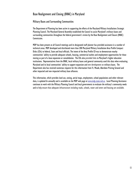# Base Realignment and Closing (BRAC) in Maryland

## Military Bases and Surrounding Communities

The Department of Planning has been active in supporting the efforts of the Maryland Military Installations Strategic Planning Council. The Maryland General Assembly established the Council to assist Maryland's military bases and surrounding communities throughout the federal government's review by the Base Realignment and Closure (BRAC) Commission.

MDP has been present at all Council meetings and its designated staff planner has provided assistance in a number of technical areas. MDP developed and distributed more than 200 Maryland Military Installation Area Profile Compact Disks (CDs) to federal, State and local officials. The intent of the Area Profile CD was to demonstrate nearby communities' ability to provide adequate schools, housing, commercial outlets and employment opportunities for those moving as part of a base expansion or consolidation. The CDs also provided links to Maryland's higher education institutions. Representatives from the BRAC, local military bases and general community used this data when evaluating Maryland and its local communities' ability to support expansion and new development on military bases. The Department also has received numerous requests for this information from Ft. Meade, Aberdeen Proving Ground and other impacted and non-impacted military base alliances.

This information, which provides land use, zoning, aerial maps, employment, school populations and other relevant data, is updated bi-annually and is available on the MDP web page at www.mdp.state.md.us. Local Planning Assistance continues to work with the Military Planning Council and local governments to evaluate the military's community needs and to help ensure that adequate infrastructure including roads, schools, water and sewer and housing are available.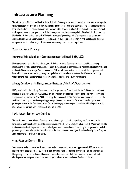# **Infrastructure Planning**

The Infrastructure Planning Division has the critical role of working in partnership with other departments and agencies of Maryland State government on a daily basis to incorporate the concerns of effective planning and Smart Growth into their infrastructure funding and management programs. Other departments have strong mandates that may, unless all work together, work at cross-purposes with the State's growth and development policies. Whether it is MDE protecting Maryland's priceless environment or MDOT with its mandate of providing a mix of transportation options to State citizens, the catalyst for cooperation is found in the work of MDP, ensuring that smart growth and planning issues are incorporated into individual project decisions and into management policy and regulation.

# Water and Sewer Planning

# Interagency Technical Assistance Committee (pursuant to House Bill 659, 2002)

MDP staff participated in the State's Interagency Technical Assistance Committee as it completed its supporting improvements in water and sewer planning. Through its representation on the Financial Management Subcommittee and the County Water and Sewerage Plan Subcommittee, MDP provided substantive planning-related and organizational input with the goal of incorporating changes to regulations and procedures to improve the effectiveness of county Comprehensive Water and Sewer Plans for environmental protection and growth management.

## Advisory Committee on the Management and Protection of the State's Water Resources

MDP participated in the Advisory Committee on the Management and Protection of the State's Water Resources' work pursuant to Executive Order # 01.01.2005.25 on the "Wolman II Committee," follow- up to "Wolman I" Committee which completed its report in May, 2004, evaluating the adequacy of the State's surface and ground water supplies. In addition to providing information regarding growth projections and trends, the Department also brought a smart growth perspective to the Committee's work. The issue of staging new development consistent with adequacy of water resources will be pursued with a final report required in 2008.

## Bay Restoration Fund Advisory Committee

The Bay Restoration Fund Advisory Committee extended oversight and advice to the Maryland Department of the Environment on the implementation of the uniquely named "Flush Fee" or Bay Restoration Fund. MDP provided input to the Committee's efforts to provide guidance to local governments on methods of identifying septic system users and also provided guidance on priorities for the utilization of the Fund to support smart growth and the Priority Places Program. Staff continues to participate in this panel.

## County Water and Sewerage Plans

Staff reviewed and commented on all amendments to local water and sewer plans (approximately 100 per year) and provided technical assistance and guidance to local governments as appropriate. By example, staff has worked with Montgomery County and the Towns of Boonsboro, Leonardtown and Snow Hill. Staff continues to review all State Clearinghouse for Intergovernmental Assistance projects related to water and sewer funding and issues.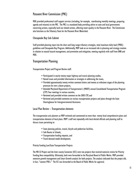# Patuxent River Commission (PRC)

MDE provided professional staff support services (including, for example, coordinating monthly meetings, preparing agenda and minutes) to the PRC. The PRC is a mandated body providing advice to state and local governments concerning actions, especially land use related actions, affecting water quality in the Patuxent River. The Commission also functions as the Tributary Team for the Patuxent River Watershed.

#### Chesapeake Bay Sub-Cabinet

Staff provided planning input into the short-and long-range tributary strategies, total maximum daily load (TMDL) guidelines and Chesapeake Bay Program. Additionally, MDP took on an increased role in planning and strategy creation in relation to coastal hazard management, and prevention and mitigation, meeting regularly with staff from DNR and MDE.

# Transportation Planning

Transportation Project and Program Review staff:

- Participated in nearly twenty major highway and transit planning studies,
- Raised issues and provided information or strategies in addressing the issues,
- Provided approximately twenty written comment letters and memos at milestone stages of the planning processes for over a dozen projects,
- Attended Maryland Department of Transportation's (MDOT) annual Consolidated Transportation Program (CTP) Tour meetings in various counties,
- Reviewed and provided written comment on the 2005 CTP, and
- Reviewed and provided comments on various transportation projects and plans through the State Clearinghouse for Intergovernmental Assistance.

#### Local Plan Review – Transportation elements

The transportation unit planners at MDP reviewed and commented on more than twenty local comprehensive plans and transportation elements of local plans. MDP's staff met repeatedly with local elected officials and planning staff to discuss issues pertaining to:

- State planning policies, transit, bicycle and pedestrian facilities,
- Safe Routes to Schools,
- Transportation funding requests, and
- Travel demand model development.

Priority Funding Law/State Transportation Projects

The MD 32 Project and the Inter-county Connector (ICC) were two projects that received extensive review for Priority Funding Area compatibility. Ultimately, both were forwarded to the Maryland Board of Public Works. MDP provided extensive growth management and Smart Growth analysis for both projects. The analysis indicated that the project did, in fact, "connect PFA's." The ICC was forwarded to the Board of Public Works for approval.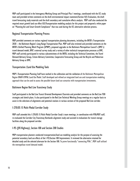MDP staff participated in the Interagency Working Group and Principal Plus 1 meetings, coordinated with the ICC study team and provided written comments on the draft environmental impact statement/Section 4(f) Evaluation, the draft travel forecasting study materials and the draft secondary and cumulative effects analysis. MDP staff also conducted the required smart growth land use effect GIS/Transportation modeling analysis for this project and prepared a white paper on "Planning Act and Smart Growth Compliance" that was used during the ICC alternative selection process.

# Regional Transportation Planning Process

MDP provided comments on various regional transportation planning documents, including the BRTB's Transportation 2030 – the Baltimore Region's Long Range Transportation Plan. MDP staff also reviewed and provided comments on the BRTB's Unified Planning Work Program (UPWP), proposed upgrades to the Baltimore Metropolitan Council's (BMC's) travel demand model, BMC's external survey study and a variety of other technical transportation processes at BMC. MDP staff actively participated in various subcommittees of the BRTB, including the Technical Committee, the Travel Demand Advisory Group, Citizen Advisory Committee, Cooperative Forecasting Group and the Bicycle and Pedestrian Advisory Group at BMC.

# Transportation /Land Use Modeling Tools

MDP's Transportation Planning Staff have worked in the calibration and the validation of the Baltimore Metropolitan Region DRAM-EMPAL Land Use Model. Staff developed and refined an integrated land use and transportation modeling approach that can be used to assess the possible future land use scenarios with transportation investments.

# Baltimore Region Red Line Transitway Study

Staff participated in the Red Line Transit Oriented Development Charrette and provided comments on the Red Line TOD strategies and sketch plans. It also participated in the Red Line Technical Working Group meetings on a regular basis to assist in the selections of alignments and potential stations in various sections of the proposed Red Line corridor.

## I-270/US 15 Multi-Modal Corridor Study

MDP staff attended this I-270/US 15 Multi-Modal Corridor Study's team meetings, in coordination with MTA/MDT staff, re-evaluated the Corridor City Transitway Kentlands alignment study and assisted in evaluations for transit storage facilities along the proposed corridor.

# I-95 (JFK Highway), Section 100 and Section 200 Studies

MDP transportation planners conducted transportation/land use modeling analysis for the purpose of assessing the potential secondary land use effects of the I-95/Section 100 Improvement. It reviewed the alternative retained for detailed study and the selected alternate for the Section 100. To prove functionally "connecting PFAs", MDP staff utilized the metropolitan travel demand model.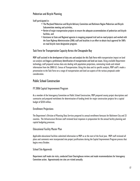### Pedestrian and Bicycle Planning

Staff participated in:

- The Maryland Pedestrian and Bicycle Advisory Committee and Baltimore Region Pedestrian and Bicycle Subcommittee meeting and activities,
- Review of major transportation projects to ensure the adequate accommodations of pedestrian and bicycle facilities, and
- Assistance to State and Regional agencies in mapping proposed trail and on-road projects and worked with the State Highway Administration (SHA) staff and localities in an effort to obtain local approval for SHA's on-road bicycle route designation program.

## Task Force for Transportation Capacity Across the Chesapeake Bay

MDP staff assisted in the development of data sets and analysis for this Task Force with transportation impact on land use analysis and began a preliminary identification of transportation and land use issues. Using available Department technology, staff prepared various data sets dealing with population projections, commuting trends and related information from the 2000 U.S. Census of Transportation. Using this data and its specific analysis, MDP staff's made a presentation to the Task Force on a range of transportation and land use aspects of the various proposals under consideration.

# Public School Construction

## FY 2006 Capital Improvement Program

As a member of the Interagency Committee on Public School Construction, MDP prepared county project descriptions and summaries and prepared worksheets for determination of funding levels for major construction projects for a capital budget of \$250 million.

## Enrollment Projections

The Department's Division of Planning Data Services prepared its annual enrollment forecasts for Baltimore City and 23 counties. The Infrastructure Division staff reviewed local responses in preparation for the annual facility planning and capital budgeting processes.

## Educational Facility Master Plan

Applicable educational facilities submitted information to MDP as at the start of the fiscal year. MDP staff reviewed all plans and comments were incorporated into project justifications during the Capital Improvement Program process that begins every October.

## School Site Approvals

Department staff made site visits, conducted State Clearinghouse reviews and made recommendations for Interagency Committee action. Approximately ten sites are visited annually.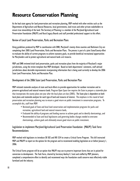# **Resource Conservation Planning**

As the lead state agency for land preservation and recreation planning, MDP worked with other entities such as the Departments of Agriculture and Natural Resources, local governments, land trusts and other private stakeholders to ensure true stewardship of the land. The Secretary of Planning is a member of the Maryland Agricultural Land Preservation Foundation (MALPF) and Rural Legacy Boards and staff provided professional support to this effort.

### Review of Local Land Preservation, Parks and Recreation Plans

Using guidelines produced by MDP in coordination with DNR, Maryland's twenty-three counties and Baltimore City are completing their 2005 Land Preservation, Parks and Recreation Plans. The process is part of a joint State/County effort to evaluate the ability of current programs to achieve statutory goals, to provide beneficial recreational opportunities for Marylanders and to protect agricultural and natural lands and resource.

MDP and DNR reviewed draft land preservation, parks and recreation plans from the majority of Maryland's major jurisdictions, using the review template that MDP developed. Based on both departments' comments, staff advised jurisdictions about desirable improvements incorporating information that is being used currently to develop the 2006 State Land Preservation, Parks and Recreation Plan.

## Development of the 2006 State Land Preservation, Parks and Recreation Plan

MDP initiated statewide analyses of state and local efforts to provide opportunities for outdoor recreation and to preserve agricultural and natural resource lands. Program Open Space law requires the State to prepare a statewide plan that incorporates the county plans one year after the local plans are due (2005). The State plan is dependent on both local plans and statewide analyses for each type of land and resource of interest. The emphasis in this round of land preservation and recreation planning was to ensure a good return on public investment in conservation programs. To accomplish this, staff from MDP:

- Reviewed goals of State and local land conservation and implementation programs for parks and recreation, agricultural land and natural resource lands,
- Evaluated the ability of programs and funding sources to achieve goals and to identify shortcomings, and
- Recommended to State and local legislatures and governing bodies changes needed to overcome shortcomings, achieve goals and ultimately ensure good return on public investment.

# Legislation to implement Maryland Agricultural Land Preservation Foundation (MALPF) Task Force **Recommendations**

MDP worked with legislators to introduce SB 502 and HB 1334 to create a Critical Farms Program. This bill instructed MDP and MALPF to report on the options for the program and to recommend enabling legislation on or before January 1, 2006.

The Critical Farms program will be an option that MALPF may use to preserve important farms that are in poised for conversion to development. The Task Force, chaired by Secretary Audrey E. Scott and staffed by MDP planners, completed a comprehensive effort to identify and recommend ways the Foundation could conserve most effectively viable farmland and the industry.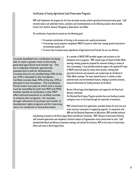#### Certification of County Agricultural Land Preservation Programs

MDP staff implements this program for the State that helps counties achieve agricultural land preservation goals. Staff reviewed reports and submitted reviews, comments and recommendations to the following counties: Anne Arundel, Carroll, Cecil, Harford, Howard, Montgomery, Queen Anne's and Talbot.

The certification of agricultural counties has the following goals:

- To maintain contributions of farming to the economy and a quality environment,
- To encourage county programs complement MALPF to preserve viable land, manage growth and preserve environmental quality; and
- To ensure that increased county expenditures of Agricultural Land Transfer Tax are cost-effective.

Counties benefited from certification by being able to retain a greater share of the locally generated agricultural land transfer tax. This tax is collected whenever agriculturally assessed land is sold for development. Counties that are not certified keep 33% of the tax; 67% is allocated to the Foundation. Certified counties keep 75% of the tax; 25% is allocated to the Foundation. The Certification Period covers two years at which time a county must be recertified by both the MDP and MDA. Another benefit of certification is that MDP offers technical assistance to certified counties to enhance their programs—for example, through refinement of purchase and transfer of development rights programs and for improving return on investment in land preservation.

As a member of MALPF, MDP provided support and assistance to the foundation and its programs. MDP created maps for Board of Public Works meetings showing properties proposed for easement funding in context of their surroundings. It also provided technical support with updated GIS maps of MALPF preserved lands for twenty-three counties, showing both agricultural districts and easements and created maps for the Board of Public Works meetings. The maps showed districts in relation to other protected lands and environmental features, helping to provide consistent, balanced information for funding decisions by the Board.

Review of Rural Legacy Area Applications and support for the Board and Advisory Committee

The Maryland Rural Legacy Program provides focus and funding to protect contiguous tracts of rural land through the acquisition of easements.

MDP reviewed twenty-five applications, provided analysis for each area and wrote summary assessments of supporting programs. In conjunction with DNR and the Maryland Department of Agriculture, MDP provided technical

and planning assistance to the Rural Legacy Board and Advisory Committee. MDP's Resource Conservation Planning staff reviewed applications and completed a technical analysis of fragmentation versus preservation for each. Staff attended both Board and Advisory Committee meetings and advised the Secretary, MDP on the status of conservation efforts and issues in Rural Legacy Areas.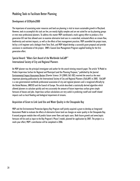# Modeling Tools to Facilitate Better Planning

# Development of GISHydro2000

The importance of associating water resources and land use planning is vital to insure sustainable growth in Maryland. However, tools to accomplish this task are few, are mostly highly complex and are not suited for use by planning groups or even most professional planners. To address this matter MDP coordinated a multi-agency effort to produce a first generation GIS tool that allowed users to examine alternative land uses in a watershed, estimated effects on stream flow, biodiversity and nutrient impacts, as well as the effects of best management practices. MDP assembled the project team, led by a civil engineer and a biologist from Tetra Tech, and MDP helped develop a successful grant proposal and provide assistance in coordination of the project. DNR's Coastal Zone Management Program supplied funding for the first generation effort.

# Special Award: "Albers Gert Award of the Worldwide IsoCaRP" International Society of City and Regional Planners

An MDP planner was the principal investigator and author for the award winning research paper. The article "A Model to Predict Impervious Surface for Regional and Municipal Land Use Planning Purposes," published by the Journal Environmental Impact Assessment Review (Elsevier Science: 24 (2004) 363-382) received the award as the most important planning publication by the International Society of City and Regional Planners (ISoCaRP) in 2005. ISoCaRP is a non-governmental worldwide professional association of city and regional planners and is recognized officially by the United Nations, UNESCO and the Council of Europe. The article described a statistically derived algorithm which allowed planners to calculate quickly and very accurately the amount of future impervious surface given simple forecasts of houses and jobs. Impervious surface calculations are very useful in predicting runoff and runoff related impacts such as local flooding and biological impairment of streams.

# Acquisition of Grant to Link Land Use and Water Quality in the Chesapeake Bay

MDP and the Environmental Protection Agency Bay Program staff jointly acquired a grant to develop an Integrated Assessment Model to evaluate the effects of alternative future land use changes on water quality in the Chesapeake Bay. A second program module then will predict future sewer flows and septic users. Both future growth and sewer/septic forecasts will be used as input to the Bay Program's Phase 5 model, planned for application by 2007. The project is a multi-year effort; MDP's contribution will be completed in 2006.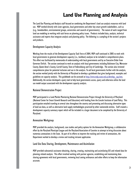# **Land Use Planning and Analysis**

The Land Use Planning and Analysis staff focused on combining the Department's land use analysis resources with land use. MDP worked directly with sister agencies, local governments and other key smart growth stakeholders, such as (e.g., homebuilders, environmental groups, universities and councils of governments). The nature of work ranged from land use modeling to working with task forces on planning policy issues. Products included data, analysis, technical assistance and reports that integrate analysis and planning policy. The following is a sampling of the section's projects and products.

#### Development Capacity Analysis

Working from the results of the Development Capacity Task Force of 2004, MDP staff continued in 2005 to work with local governments to generate development capacity (i.e., buildout) analyses to be included in comprehensive plans. This effort was facilitated by memoranda of understanding with local governments and by an Executive Order from Governor Ehrlich. The section continued to work on analysis with local governments including Baltimore City, Worcester County, Queen Anne's County, Carroll County, Town of Federalsburg and City of Cambridge. The section also reviewed comprehensive plans for potential inclusion and use in the analysis. To aid local governments further with the analysis, the section worked jointly with the University of Maryland to develop a guidebook that gives background, examples and guidelines on capacity analysis. This guidebook can be accessed at http://www.mdp.state.md.us/develop\_cap.htm. Additionally, the section developed a query tool to help local governments access, query and otherwise utilize the land use model output associated with the development capacity analysis.

#### National Demonstration Project

MDP participated in a Land Market Monitoring National Demonstration Project through the University of Maryland (National Center for Smart Growth Research and Education) with funding from the Lincoln Institute of Land Policy. This participation entailed traveling to several sites throughout the country and presenting and discussing alternative types of land use data, as well as alternative land supply methodologies practiced by other nationwide entities. Staff created a development capacity summary report which will be included in a larger document to be completed by the University of Maryland.

#### Annexation Workgroup

MDP provided the analysis, background, case studies and policy options for the Annexation Workgroup, a collaborative effort by the Maryland Municipal League and the Maryland Association of Counties to attempt to bring discussion about numerous annexations in the State. As part of its efforts to improve the tracking and review of annexations, the Department worked to develop a review and tracking intranet application.

#### Land Use Data Sharing, Development, Maintenance and Assimilation

MDP provided substantial assistance obtaining, sharing, creating, maintaining and assimilating GIS and related data for planning-related analysis. This effort involved working with partner agencies, establishing and maintaining data sharing agreements with local governments, reviewing local zoning ordinances and other efforts to keep the information accurate.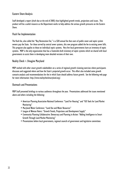# Eastern Shore Analysis

Staff developed a report (draft due at the end of 2005) that highlighted growth trends, projections and issues. This product will be a useful resource as the Department works to help address the serious growth pressures on the Eastern Shore.

### Flush Fee Implementation

The flush fee, also called the "Bay Restoration Fee," is a \$30 annual fee that users of public sewer and septic system owners pay the State. For those served by central sewer systems, this new program added the fee to existing sewer bills. This program also applies to those on individual septic systems. Very few local governments have an inventory of septic systems. MDP is the only organization that has a Statewide draft inventory of septic systems which we shared with local governments to assist them in developing more detailed versions of their own.

## Reality Check  $+$ /Imagine Maryland

MDP worked with other smart growth stakeholders on a series of regional growth visioning exercises where participants discusses and suggested where and how the State's projected growth occur. This effort also included some growth scenario analysis and recommendations for the in which State should address future growth. See the following web page for more information: http://www.realitycheckmaryland.org/.

### Outreach and Presentations

MDP Staff presented briefings to various audiences throughout the year. Presentations addressed the issues mentioned above and others including the following:

- American Planning Association National Conference: "Land For Housing" and "GIS Tools for Land Market Monitoring"
- Maryland Water Conference: "Land Use and Water Resources"
- League of Woman Voters: "Growth Trends, Projections and Development Supply"
- Community Planning Collaborative: Democracy and Planning in Action: "Adding Intelligence to Smart Growth Through Land Market Monitoring"
- Presentations before local governments, regional councils of government and legislative committees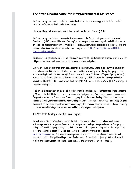# **The State Clearinghouse for Intergovernmental Assistance**

The State Clearinghouse has continued its work in the forefront of computer technology to assist the State and its citizens with effective and timely products and services.

#### Electronic Maryland Intergovernmental Review and Coordination Process (EMIRC)

The State Clearinghouse for Intergovernmental Assistance manages the Maryland Intergovernmental Review and Coordination, (MIRC) process. MIRC offers "one stop" project analysis by government agencies and officials to ensure proposed projects are consistent with known state and local plans, programs and policies prior to project approval and implementation. Additional information on this process may be found at http://www.mdp.state.md.us/CLHOUSE/ intergov review center.htm.

The Clearinghouse system provided enhanced efficiency in reviewing the projects submitted for review in order to achieve 100 percent consistency with known State and local plans, programs and policies.

Staff received 1,308 projects for intergovernmental review in fiscal year 2005. Of that total, 1,107 were requests for financial assistance, 199 were direct development projects and two were facility plans. The top three programmatic areas requesting financial assistance were (1) Environmental and Energy, (2) Recreation/Program Open Space and (3) Health. The total federal dollar amount that was requested was \$1,144,801,952.10 and the State requested dollar amount was \$361,124,852.39. Requested local funds were \$51,015,817.95 and a total of \$261,981,848.21 were requests from other funding sources.

In the area of direct development, the top three project categories were Category one Environmental Impact Statements (EIS) such as the draft EIS for the Inner County Connector in Montgomery and Prince Georges counties. Also included in Category One are National Environmental Protection Agency (NEPA) documents, findings of Non Significant Impacts statements (FONSI), Environmental Effects Reports (EER) and Draft Environmental Impact Statements (DEIS). Category Two consisted of excess real property declarations and Category Three contained historic nominations. Projects receiving full review resulted in being consistent with state and local plans, programs and objectives.

#### The "Red Book"-Catalog of State Assistance Programs

The well-known "Red Book" contains updates of the  $800+$  programs of technical, financial and non-financial assistance provide by State agencies. More than 60 State departments and agencies updated their Red Book program listings. Staff provided ongoing training and technical assistance to State agencies as they updated their programs via the Internet on The Red Book Online. This is an "easy to use" electronic reference tool located at www.mdredbookonline.com. Program contacts are provided for users to obtain detailed information on items of interest. In addition, MDP published in print form The Red Book – Abridged Edition, January 2005, which was well received by legislators, public officials and citizens at MACo, MML Governor's Conference on Housing.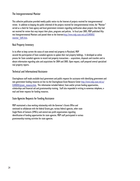# The Intergovernmental Monitor

This collective publication provided weekly public notice via the Internet of projects received for intergovernmental review. In addition to keeping the public informed of the projects received for intergovernmental review, the "Monitor" served as a check for State agency and local government reviewers regarding notification about projects that they had not received for review that may impact their plans, programs and policies. In fiscal year 2005, MDP published fiftytwo Intergovernmental Monitors and posted them to the Internet: http://www.mdp.state.md.us/CLHOUSE/ monitor\_fy05.htm.

### Real Property Inventory

In its effort to keep current the status of state owned real property in Maryland, MDP secured the participation of State custodial agencies to update their real property holdings. It developed an online process for State custodial agencies to record real property transactions – acquisitions, disposals and transfers and to obtain information regarding sales and acquisitions for 2004 and 2005. Upon request, staff prepared several specialized real property reports.

### Technical and Informational Assistance

Clearinghouse staff made available local government and public requests for assistance with identifying government and non-government funding resources on line via the Clearinghouse Grant Resource Center http://www.mdp.state.md.us/ CLHOUSE/grant\_resource.htm, This information included federal, State and/or private funding opportunities, scholarships and financial aid and grantsmanship training. Staff also responded in writing to numerous telephone, email and letter requests for funding resources.

## State Agencies Requests for Funding Assistance

MDP maintained a close working relationship with the Governor's Grants Office and continued to collaborate with the federal Grants.gov, various federal agencies, other state Single Points of Contacts (SPOCs) and several non-profit organizations regarding identification of funding opportunities for state agencies. MDP staff participated in various grantsmanship training activities for state agencies.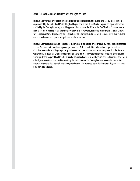#### Other Technical Assistance Provided by Clearinghouse Staff

The State Clearinghouse provided information to interested parties about State-owned land and buildings that are no longer needed by the State. In 2005, the Maryland Department of Health and Mental Hygiene, acting on information provided by the Clearinghouse, began making preparations to move the Office of the Chief Medical Examiner from a stand-alone office building to the site of the new University of Maryland, Baltimore (UMB) Health Sciences Research Park in Baltimore City. By providing this information, the Clearinghouse helped State agencies fulfill their missions, save time and money and open existing office space for other uses.

The State Clearinghouse circulated proposals of declarations of excess real property made by State, custodial agencies to other Maryland State, local and regional governments. MDP circulated this information to gather statements of possible interest in acquiring the property and to make a recommendation about the proposal to the Board of Public Works. In 2005, the Clearinghouse helped DNR and the U. S. Navy accomplish their objectives by circulating their request for a proposed land transfer of similar amounts of acreage in St. Mary's County. Although no other State or local government was interested in acquiring the State property, the Clearinghouse recommended that historic resources on the sites be protected, interagency coordination take place to protect the Chesapeake Bay and that access to the parcel be retained.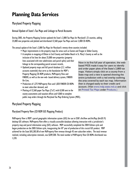# **Planning Data Services**

# Maryland Property Mapping

Annual Update of State's Tax Maps and Linkage to Parcel Accounts

During 2005, the Property Mapping Section updated the State's 2,800 Tax Maps for Maryland's 23 counties, adding 25,000 new properties and plotted and distributed 12,560 paper Tax Maps and over 3,000 CD-ROMs.

The annual update of the State's 2,800 Tax Maps for Maryland's twenty-three counties included:

- Major improvements in the property maps for areas such as Easton and Trappe in Talbot County,
- A complete re-mapping of Elkton in Cecil County and Golden Beach in St. Mary's County as well as the inclusion of lot lines for about 25,000 new properties (property lines associated with new subdivisions and parcel splits) and their linkage to the corresponding parcel account records,
- Updated property maps and full parcel database (2.2. million accounts statewide) that serve as the foundation for MDP's Property Mapping CD-ROM products, MdProperty View and FINDER, as well as the new web- based delivery system, FINDER On-Line,
- Production of 1,275 MdProperty View and 1,820 FINDER CD-ROMs to meet subscriber demand, and
- Plotting of 12,560 paper Tax Maps (2'x3') with 8,500 sent to the county assessments and taxation offices and 4,060 to complete public map orders through the Maryland Tax Map Ordering System (MOS).

Now in its first full year of operation, the webbased MOS made it easy for users to identify and order paper plots of the State's 2,800 tax maps. Visitors simply click on a county from a State map and a view is opened showing the entire jurisdiction with a red overlay outlining the area covered by each tax map. Information then is charged easily to their credit card account. (Visit www.mdp.state.md.us and click on Printed Tax Maps under Products.)

# Maryland Property Mapping

## Maryland Property View (CD ROM GIS Mapping Product)

MdProperty View is MDP's parcel geographic information system (GIS) for use in ESRI's ArcView and ArcMap (ArcGIS 9) desktop GIS software. MdProperty View offers a visually accessible database allowing interaction with a jurisdiction's property map and parcel information using (GIS) software. MDP successfully completed the 2004 Edition cycle and began production on the 2005 Edition cycle, inaugurating the 10<sup>th</sup> year of production of this crucial GIS product. MDP achieved for the State \$43,385.00 of new MdProperty View revenue through 45 new subscriber orders. The total revenue realized, including subscription renewals, was \$309,500. The total number of MdProperty View CD-ROMs distributed was 1,220.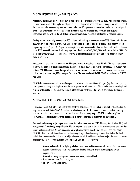### Maryland Property FINDER (CD ROM Map Viewer)

MdProperty Map FINDER is a robust and easy-to-use desktop tool for accessing MDP's GIS data. MDP launched FINDER, the abbreviated name for this sophisticated product, in 2003 to provide search and visual display of tax map and parcel databases and other map overlays to the consumers who lack GIS experience. A subscriber may locate a desired parcel by using the owner name, street address, parcel account or map reference searches, retrieve the latest parcel information from the Web for the selected or neighboring parcels and generate printed property maps and reports.

The Department successfully completed the 2004 Edition cycle and began production on the 2005 Edition cycle. For the 2005 version of the FINDER software, MDP added 11 new features based on subscriber feedback collected through its Engineering Change Proposal (ECP) process. Among these was the addition of the labeling tool. Staff created and added to the 2005 county CDs residential sales map layers for calendar years 2002, 2003, 2004 and the first half of 2005. For the Worcester County CD, a subdivision map layer was created to assist subscribers in identifying condominiums by name in Ocean City.

Key address and database augmentations for MdProperty View also helped to improve FINDER. The most important of these was the addition of subdivision code and description to the FINDER parcel records. For FY2005, FINDER achieved just over \$58,000 in new revenue through 170 new subscriber orders. Total revenue including subscription renewals realized was just under \$106,500 for the past fiscal year. The total number of FINDER CD-ROMs distributed in CY 2005 was 1,888.

FINDER also supports advanced queries of the parcel database and allow additional GIS layers (e.g. flood plains, zoning, sewer, protected lands) to be displayed over the tax maps and parcels point maps. These products were exceedingly well received by the public and especially by business subscribers, primarily real estate agents, brokers and developers and appraisers.

#### Maryland FINDER On-Line (Statewide Web Accessibility)

In September, 2005 MDP introduced a newly developed web-based mapping application to access Maryland's 2,800 tax maps linked spatially to the State's 2.2 million parcel database records. This application was directed at providing broader use and access to products that are accessible from MDP currently only on CD-ROM – MdProperty View and FINDER CD. An initial Beta testing phase commenced in August comprising of more than 150 participants.

This web-based mapping project represents a successful collaboration between MDP's Planning Data Services (PDS) and Management Information System (MIS) units. PDS was responsible for spatial data and metadata updates to ensure data quality and uniformity and MIS was responsible for script coding as well as web server operation and maintenance. FINDER On-Line provided statewide access via the display of region-based mapping datasets (four to five Maryland jurisdictions simultaneously). This enabled all jurisdictions and all shared boundaries between jurisdictions to be viewed and analyzed. The map layers available with FINDER On-Line include the following:

- General and detailed State Highway Administration street and feature maps with annotation, Assessments data on ownership and value, recent sales and detailed characteristics of residential parcels with improvements,
- Generalized county zoning maps, county sewer maps; Protected lands,
- Land use/land cover; flood plains, and
- Priority Funding Areas (PFAs).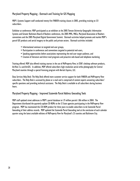# Maryland Property Mapping - Outreach and Training for GIS Mapping

MDP's Systems Support staff conducted twenty-five FINDER training classes in 2005, providing training to 121 subscribers.

Exhibitor at conferences: MDP participated as an exhibitor at the 2005 Towson University Geographic Information Systems and Greater Baltimore Board of Realtors conferences, the 2005 MML, MACo, Maryland Association of Realtors conventions and the 2005 Maryland Digital Government Summit. Outreach activities helped promote and market MDP's parcel GIS products and aerial imagery to the public and private sectors. Outreach activities included:

- Informational seminars to targeted end-user groups,
- Participation in conferences and conventions targeted to potential end-users,
- Speaking opportunities before associations representing the end-user target audience, and
- Creation of literature and direct mail programs and proactive web-based and telephone marketing

Training offered: MDP also offered training courses in the use of MdProperty View, in ESRI's desktop software products, ArcView 3.x and ArcGIS. In addition, MDP offered subscribers high-resolution aerial ortho-photography for Central Maryland counties through a special licensing program with Aerials Express, LLC.

Data Services Help Desk: The Help Desk offered more customer service support for both FINDER and MdProperty View subscribers. The Help Desk is accessed by phone or e-mail and is comprised of content experts answering subscribers' specific questions and providing technical assistance. The Help Desk is available to all subscribers during business hours.

## Maryland Property Mapping - Improved Statewide Parcel Address Geocoding Tools

MDP staff updated street addresses in MDP's parcel database to 1.9 million parcels 1.86 million in 2004. The Department distributed the quarterly update CD-ROMs to the 12 State agencies participating in the MdProperty View program. MDP has maintained this CD-ROM product for three years to enable subscribers to do Statewide Parcel Geocoding of their address records. MDP updated the Statewide Parcel Geocoding tool at the conclusion of each calendar quarter using the latest available editions of MdProperty View for Maryland's 23 counties and Baltimore City.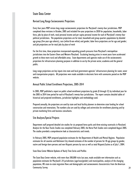# State Data Center

#### Revised Long Range Socioeconomic Projections

Every four years MDP revises long-range socioeconomic projections for Maryland's twenty-four jurisdictions. MDP completed these revisions in October, 2005 and included five-year projections to 2030 for population, households, labor force, jobs by place of work, total personal income and per capita personal income for each of Maryland's twenty-four political jurisdictions. The population projections are for total, household and group quarters populations by detailed age group (five-year age cohorts), race (white & non-white) and gender; labor force projections are for age and gender; and job projections are for total jobs by place of work

For the first time, these projections incorporated expanding growth pressures from Maryland's metropolitan jurisdictions into the Eastern Shore and Western Maryland. Escalating housing prices in recent years have accelerated growth to these more rural and affordable areas. State departments and agencies make use of the socioeconomic projections for infrastructure planning purposes in addition to use by the private sector, academia and the general public.

Long-range projections are key inputs into state and local government agencies' infrastructure planning for water, sewer and transportation projects. All projections were made available in electronic form with summaries posted on the MDP website.

#### Annual Public School Enrollment Projections, 2005-2014

In 2005, MDP published a report on public school enrollment projections by grade (K through 12) by individual year for the 2005 to 2014 time period for each of Maryland's twenty-four jurisdictions. The report contains detailed tables of historical and projected enrollments, jurisdiction highlights and methodology used.

Prepared annually, the projections are used by state and local facility planners to determine state funding for school construction and renovations. The numbers also are used by colleges and universities for enrollment planning and by private marketing firms and business consultants.

#### Site Analyses/Special Projects

Department staff prepared detailed site studies for six proposed horse parks and three existing racetracks in Maryland. Analysis for the Race Tracks Studies was completed February 2005; the Horse Park Studies were completed August 2005. The studies provided a comprehensive look at characteristics and trends.

In February 2005, MDP prepared population estimates for the Department of Health and Mental Hygiene. Population estimates for all counties and Baltimore City showed estimates of the number of persons for 18 age groups by gender, native and foreign-born persons and non-Hispanic persons by race as well as total Hispanic/Latino as of July 1, 2004.

State Data Center Website Updates of Yearly Time Series and Profiles

The State Data Center website, with more than 300,000 visits last year, made available new information such as population estimates for Maryland's 24 jurisdictions (age/race/gender) and municipalities, analysis of the changing population, IRS state-to-state migration flows and demographic and socioeconomic characteristics from the American Community Survey. 29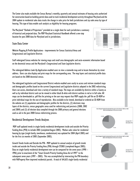The Center also made available the Census Bureau's monthly, quarterly and annual estimates of housing units authorized for construction based on building permit data used to track residential development activity throughout Maryland and the 2004 update to residential sales data tracks the change in sales price for both jurisdictions and zip code areas by type of housing. This type of data enable such analysis as eligibility for housing programs.

The Maryland "Outlook of Projections" provided on a single sheet for each jurisdiction a summary of historical and projected data. The MDP Maryland Statistical Handbook offered a one-stop location for post 2000 data for Maryland and its jurisdictions.

State Data Center

Website Mapping & Profile Applications - improvements for Census Statistical Areas and Congressional and Legislative Districts

Staff redesigned Census websites for viewing maps and small area demographic and socio-economic information based on the decennial census and the Maryland's Congressional and State Legislative district.

The redesigned Address Look-Up Application enabled users to view a statewide map and to locate themselves by street address. Users can also display and print maps for the corresponding area. The map layers and statistical profile data are based on the 2000 decennial census.

The redesigned Legislative and Congressional District website enabled users easily to access and retrieve standard maps and demographic profiles based on the current Congressional and Legislative districts adopted in the 2002 redistricting. Users can access, download and view a variety of standard maps. The maps are available by districts within a County as well as by individual district and can be viewed in either black & white with district outlines in red or in full color. All maps can be downloaded as .pdf files for printing or the user may request that MDP supply the .pdf file on CD-ROM or print individual maps for the cost of reproduction. Also available to be viewed, download or ordered on CD-ROM from the website are (1) population and demographic profiles for the districts, (2) electronic map layers of the districts, census geographic areas used for redistricting and precincts (2000, 2002 and 2004) and (3) all election data compiled through the 2000 primary and general elections

# Residential Development Trends Analyses

used as aid in the post 2000 Census redistricting process.

 MDP staff updated trends in single-family residential development inside and outside the Priority Funding Area (PFA) to include 2003 (completed August 2005). Median sales value for residential housing by type (single family, townhouse, condominium) was updated for 2004 (April 2005) and for the first six months of 2005 (September 2005).

Growth Trends Inside and Outside the PFA - MDP updated its annual analysis of growth trends inside and outside the Priority Funding Area (PFA) through CY2003 (completed August 2005). Data on single-family residential development now can be compared for the seven years (1990 – 1996) prior to enactment of the "Smart Growth Priority Funding Areas Act of 1997" to the subsequent seven years (1997  $-$  2003). This was accomplished by intersecting the PFA boundary with MdProperty View improved residential parcels. A total of 164,655 single-family residential



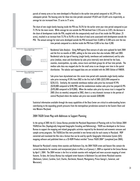parcels of twenty acres or less were developed in Maryland in the earlier time period compared to 161,279 in the subsequent period. The housing units for these two time periods consumed 119,654 and 123,641 acres respectively, as average lot size increased from .73 acres to 77 acres.

The share of new single-family housing inside the PFA was 76.5% for the earlier seven year time period compared to just 71.7% for the more recent. While average lot size outside the PFA declined from 2.276 acres to 2.073, the decrease in the share of development inside the PFA, coupled with the comparatively small size of lots inside the PFA (about .25 acres), resulted in an increase from 73.7% to 76.4% in the share of total acres associated with development outside the PFA. The annual average for total acres developed outside the PFA increased from 12,600 to 13,500 acres over the two time periods compared to a decline inside the PFA from 4,500 to less than 4,200.



Residential Sales Analysis - Using MdProperty View extracts of sales were updated for both 2004 and the first six months of 2005, adding to the time series that also includes 2002 and 2003. Residential sales by type of housing (single family, townhouse and condominium) and by sales price (median, mean and distribution by sales price intervals) were derived for the State, counties, municipalities, zip codes, census tracts and block groups for all four time periods. The median sales data was mapped also for the small areas to see changes over time in the spatial distribution. The tabular and mapped data sets are included with the 2005 Edition of FINDER.

Sale prices have skyrocketed over this recent time period with statewide single-family median sales price increasing 47.0% from 2002 to the first half of 2005 (\$323,900 compared to \$220,312). Similarly, the statewide townhouse median sales price has increased 47.9% (\$220,000 compared to \$148,790) and the condominium median sales price has jumped 63.9% (\$195,000 compared to \$119,000). When the median sales price by census tract is mapped for 2005 (first six months) compared to 2002, there is a very dramatic increase in the portion of central Maryland where the median sale price now exceeds \$300,000.

Statistical information available through the many capabilities of the Data Center are critical to understanding factors contributing to the expanding growth pressures from the metropolitan jurisdictions outward to the Eastern Shore and into Western Maryland.

#### 2004 TIGER Street Map with Addresses to Support Planning

In the spring of 2005 the U.S. Census Bureau provided the Maryland Department of Planning with its First Edition 2004 TIGER/Line files (Topologically Integrated Geographic Encoding and Referencing). TIGER was developed at the Census Bureau to support the mapping and related geographic activities required by the decennial and economic censuses and sample survey programs. The TIGER/Line files were provided in text format only for each county in Maryland. MDP converted and translated the files into a format that can be used by specific Geographic Information System (GIS) mapping software and published them as a CD-ROM Product entitled "Census TIGER 2004" (completed June 2004).

Released for Maryland's twenty-three counties and Baltimore City, the 2004 TIGER street and feature files contain the current boundaries for counties and incorporated places in effect as of January 1, 2004 as reported to the Census Bureau by April 1, 2004. The 2004 version is the first to include counties with realigned and more accurate mapping of street features. To date, the Census Bureau has realigned street features in Baltimore City and eleven Maryland counties (Baltimore, Calvert, Caroline, Cecil, Charles, Dorchester, Howard, Montgomery, Prince George's, Somerset, and Worcester).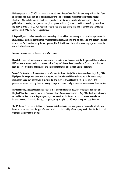MDP staff prepared the CD-ROM that contains extracted Census Bureau 2004 TIGER features along with key data fields as electronic map layers that can be accessed readily and used by computer mapping software that meets State standards. Also included were statewide map layers for census statistical areas for which demographic data are published (e.g., counties, places, census tracts, block groups and blocks) as well as political areas (Congressional and Legislative districts). The CD-ROM was distributed to State and local agency data sharing partners and also may be ordered from MDP for the cost of reproduction.

Using the CD, users can find a map location by entering a single address and zooming to that location anywhere on the statewide map. Users also can take their own list of addresses (e.g. customer or client databases) and spatially reference them to their "x,y" location along the corresponding TIGER street feature. The result is a new map layer containing the user's database information.

### Featured Speakers at Conferences and Workshops

China Delegation: Staff participated in two conferences as featured speakers and hosted a delegation of Chinese officials. MDP was able to present needed information such as Maryland's interaction with the Census Bureau, use of data for socio-economic projections and provision and distribution of census data through a state department.

Women's Bar Association: A presentation to the Women's Bar Association (WBA) at their annual meeting in May 2005 highlighted the foreign born population in Maryland. Members of the (WBA) were interested in the impact foreign immigration would have on the types of services the legal community would need to offer in the future. The presentation focused on foreign born by country of origin, concentrations by zip code and socioeconomic characteristics.

Maryland Library Association: Staff presented a session on accessing Census 2000 and more recent data from the Maryland State Data Center website at the Maryland Library Association conference in May 2005. Conference attendees received instructions on accessing demographic, socioeconomic and business data and information on the Census Bureau's American Community Survey, an on-going survey to replace the 2010 census long form questionnaire.

The U.S. Census Bureau requested that the Maryland State Data Center host a delegation of Chinese officials who were interested in learning about the types of data collected and maintained by a State agency, applications for the data and the access and distribution process.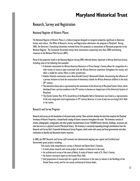# **Maryland Historical Trust**

# Research, Survey and Registration

# National Register of Historic Places

The National Register of Historic Places is a federal program designed to recognize properties significant in American history and culture. The Office of Research, Survey, and Registration administers the program in Maryland. During 2005, the Governor's Consulting Committee reviewed thirty-five proposals as nominations of Maryland properties to the National Register. The Committee forwarded twenty-three nominations comprising more than 2000 contributing resources to the National Park Service (NPS).

Many of the properties listed in the National Register during 2005 reflected themes important in African American history, including some of the following fine examples:

- A thematic nomination for African American Resources in Prince George's County allows for recognition of a wide variety of resource types associated with the African American experience throughout the county, and offers a model for similar efforts in other jurisdictions.
- Another thematic nomination covers Anne Arundel County's Rosenwald Schools, documenting the influence of a private initiative to fund the construction of elementary schools for African American children in the early 20<sup>th</sup> century.
- The education theme also is represented by the nomination of the University of Maryland Eastern Shore, which developed from a private academy in the 19<sup>th</sup> century to become an integral part of the University Systems of Maryland.
- The Charles Sumner Post #25, Grand Army of the Republic Hall in Chestertown was listed as a representative of the only integrated social organization in  $19<sup>th</sup>$ -century America; it is one of only two surviving G.A.R. Halls in the nation.

#### Research and Survey Program

Research and survey are the foundation of all preservation activity. These activities develop the data that comprise the Maryland Inventory of Historic Properties, a broad-based catalog of historic resources throughout the state. The Inventory consists of written, photographic, cartographic and other graphic documentation of over 150,000 historic districts, buildings, structures and sites that serve as a physical record of Maryland history. The Inventory is constantly expanding through contributions from the Research and Survey Unit's Statewide Architectural Survey Program, which works with county and local governments and other institutions to identify and document historic resources.

In 2005, the MHT Research and Survey staff reviewed and administered ongoing non-capital and Certified Local Government grant projects including:

Two county-wide comprehensive surveys in Howard and Queen Anne's Counties;

- A multi-phase research and survey project of modern architecture in the state;
- An architectural survey of the town of Belair; A study of historic roads of St. Mary's County;
- An historic structures report on the Easton Music Hall;
- And preparation of manuscripts for a guide to architecture in the state (a volume in the Buildings of the United States series) and for two county architectural history books.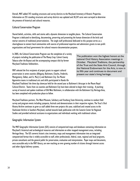Overall, MHT added 747 standing structures and survey districts to the Maryland Inventory of Historic Properties. Information on 255 standing structures and survey districts was updated and 30,247 acres were surveyed to determine the presence of historical and cultural resources.

## Cultural Conservation Program

Shared beliefs, activities, skills and stories add a dynamic dimension to tangible places. The Cultural Conservation Program is dedicated to identifying, documenting, preserving and presenting the human dimension of the brick and mortar concerns of traditional preservationists. The single staff professional dedicated to this purpose serves as a clearinghouse to connect local communities with sources of professional expertise and administers grants to non-profit organizations and local governments for cultural resource documentation purposes.

In 2005, the Cultural Conservation Program saw the completion of a variety of projects including the publication of The Money Crop: Calvert County Tobacco after the Buyout and the accompanying compact disk by former Maryland Traditions fieldworkers.

MHT selected the first recipients of project grants to support cultural preservation in seven counties (Allegany, Baltimore, Charles, Frederick, Montgomery, Talbot, and St. Mary's) and Baltimore City. Ten Master Apprentice teams in traditional arts and skills participated in Hands-On The publication won the highest honors at the national Oral History Association meetings in October. Maryland Traditions, the partnership of the Trust and the State Arts Council, through the National Endowment for the Arts, is now in its fifth year and continues to document and present our state's living heritage.

Maryland Traditions! the three day showcase held for the second year at Baltimore's Artscape in the Mount Royal Cultural District. Teams from six counties and Baltimore City have been selected to begin their training. A yearlong survey of musical and spoken traditions of Old West Baltimore, in collaboration with the Baltimore City Heritage Area, has been completed with production phase to follow.

Maryland Traditions partners, The Ward Museum, Salisbury and Frostburg State University, continue to conduct field survey and program events including symposia, festivals and demonstrations in their respective regions. The Trust's Oral History Archive continues to grow as staff added three new projects this year, stabilized and created access to the Slackwater Archive in Southern Maryland, worked towards book publication with the Catoctin Center for Regional Studies and provided technical assistance to organizations and individuals working with traditional culture.

## Geographic Information System

The MHT Geographic Information System (GIS) consists of computerized maps and databases containing information on Maryland's historical and archeological resources and information on other mapped management areas, including Heritage Areas. The GIS converts historic sites inventory, maps and management information into an integrated computerized format that is widely accessible to staff, other professionals, federal, state, regional and local programs, private consultants and the general public for preservation, evaluation and interpretation. Paper maps and documents, once accessible only in the MHT library, are now reaching an ever-growing number of citizens through Internet access and other digital delivery systems.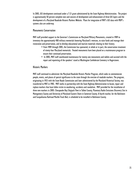In 2005, GIS development continued under a T-21 grant administered by the State Highway Administration. The project is approximately 50 percent complete now and consists of development and enhancement of three GIS layers and the development of a Maryland Roadside Historic Markers Website. Plans for integration of MHT's GIS data with MDP's systems also are underway.

#### Monuments Conservation

MHT staff provided support to the Governor's Commission on Maryland Military Monuments, created in 1989 to inventory the approximately 400 military memorials honoring Maryland's veterans, to raise funds and manage their restoration and preservation, and to develop educational and tourism materials relating to their history.

- From 1989 through 2005, the Commission has sponsored, in whole or in part, the conservation treatment of ninety-four Maryland memorials. Treated monuments have been placed on a maintenance program to ensure their continued preservation.
- In 2005, MHT staff coordinated maintenance for twenty-one monuments and tablets and assisted with the repair and repointing of the speakers' stand at Washington Confederate Cemetery in Hagerstown.

## Historic Markers

MHT staff continued to administer the Maryland Roadside Historic Marker Program, which seeks to commemorate people, events, and places of special significance to the state through the erection of roadside markers. The program, originating in 1933 with the State Roads Commission and later administered by the Maryland Historical Society, was transferred to MHT in 1985. MHT works in partnership with the State Highway Administration to locate, repair and replace markers that have fallen victim to weathering, accidents and vandalism. MHT provided for the installation of three new markers in 2005: Chesapeake Bay Skipjack Fleet in Talbot County, Planetary Radio Emissions Discovery Site in Montgomery County and University of Maryland Eastern Shore in Somerset County. A fourth marker, for the Baltimore and Susquehanna Railroad Marble Track Bed, is scheduled to be installed in Baltimore County.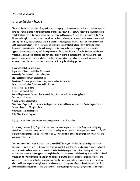# Preservation Services

## Review and Compliance Program

The Trust's Review and Compliance Program is a regulatory program that reviews State and Federal undertakings that have the potential to affect historic architecture, archeological resources and cultural resources to ensure compliance with federal and state historic preservation law. The Review and Compliance Program helps to ensure that the State's historic archeological and cultural resources will not be affected adversely or destroyed by the actions of Federal and State agencies or by those entities receiving assistance from those agencies. In 2005, Trust staff reviewed more than 3600 public undertakings in every county and Baltimore City pursuant to federal and state historic preservation legislation to assess the effects of the undertakings on historic and archeological properties and to ensure the appropriate stewardship of Maryland's heritage resources. Throughout the year, staff maintained close coordination with state agencies, federal agencies, local governments and recipients of state and/or federal funds, licenses and permits to assist program users in fulfilling their historic preservation responsibilities. Trust staff sustained effective consultation with the various compliance customers, particularly the following agencies:

Department of Defense Installations Department of Housing and Urban Development Community Development Block Grant Recipients State and Federal Highway Administrations County and Municipal governments receiving federal and/or state assistance Federal Communications Commission and its licensees National Park Service Units National Institutes of Health Corps of Engineers and Maryland Department of the Environment and their permit applicants Veterans Administration General Services Administration State Owned Properties Administered by the Departments of Natural Resources, Health and Mental Hygiene, General Services, University of Maryland System Other Federal Assisted Programs Other State Assisted Programs

Highlights of notable case reviews and interagency partnerships are listed below.

Inter-County Connector (ICC) Project: Trust staff continued its active participation in the Maryland State Highway Administration's ICC interagency team in the project planning and environmental review process for the study. The ICC is one of thirteen projects selected nationwide by the U.S. Department of Transportation for priority streamlining and environmental stewardship.

Trust involvement included participation on the bi-monthly ICC Interagency Working Group meetings, attendance at Principals +1 meetings held quarterly or more often when needed, priority review of all cultural resources sections of technical studies and environmental documents, participation in interagency field reviews, meetings with cultural resources consultants to ensure appropriate completion of studies and prompt resolution of any issues and facilitation of the Section 106 review of the project. Section 106 milestones for 2005 included completion of the identification and evaluation of historic and archeological properties within the area of potential effect; consultation to resolve adverse effects on historic properties through avoidance, minimization and mitigation efforts; review of the Preliminary Final <sub>36</sub> Environmental Impact Statement (FEIS) and negotiating and executing a Memorandum of Agreement for the project.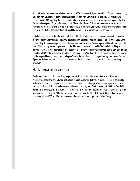Biotech Park Project: Continued administration of the 2003 Programmatic Agreement with the City of Baltimore (City), East Baltimore Development Incorporated (EBDI) and the Baltimore Commission for Historical and Architectural Preservation (CHAP) regarding the manner in which historic resources would be taken into account as part of the East Baltimore Development Project, also known as the "Biotech Park Project." Trust staff continued to participate in numerous meetings and site visits along with representatives from the City, EBDI, CHAP and several development teams to discuss how Biotech Park-related projects would be carried out in accordance with the agreement.

Included among these are the primary Biotech Park residential development area, a proposed community recreation center which involved the historic Hoen Warehouse Building, a proposed housing complex near Collington Square, the National Register nomination process for the historic area centered around Madison Square and the identification of two rows of historic alley houses for preservation. Notable developments that occurred in 2005 include reaching an agreement with EBDI regarding selected properties would be preserved within the primary residential development area, executing a MOA for the community recreation center/historic Hoen Warehouse Building, completing the review process for the proposed housing complex near Collington Square, the identification of a targeted survey area around Madison Square for National Register nomination and completing the Trust review of an assisted living development along Broadway.

#### Historic Preservation Easement Program

The Historic Preservation Easement Program protects the State's financial investment in the acquisition and rehabilitation of historic, archeological and cultural resources, ensuring that these resources continue to be cared for and available to the public in perpetuity. In turn, these resources contribute greatly to the development of the State's heritage tourism initiatives and to heritage-related educational programs. As of November 28, 2005, the Trust holds easements on 595 properties as a result of 571 easements. These easement properties are located in every county in the State and Baltimore City. In 2005, the Trust received six easements. In 2005, MHT inspected twenty-four easement properties. Also in 2005, staff held an easement workshop for volunteer inspectors in Talbot County.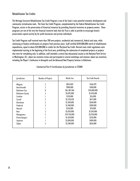## Rehabilitation Tax Credits

The Heritage Structure Rehabilitation Tax Credit Program is one of the State's most powerful economic development and community revitalization tools. The State Tax Credit Program, complemented by the Federal Rehabilitation Tax Credit Program, assists in the preservation of historical resources by providing financial incentives to property owners. These programs are two of the very few financial incentive tools that the Trust is able to provide to encourage historic preservation capital activity by for profit businesses and private individuals.

Tax Credit Program staff received more than 700 new projects, residential and commercial, federal and state, while continuing to finalize certifications on projects from previous years. Staff certified \$104,000,000 worth of rehabilitation expenditures, equal to about \$24,000,000 in credits for the Maryland Tax Credit. Revised state credit regulations were implemented starting at the beginning of the fiscal year, prohibiting the submission of completed projects or projects that were for remodeling only. In addition, staff attended a several day educational session at the National Park Service in Washington, D.C. about tax incentive review and participated in several workshops and seminars about tax incentives, including the Mayor's Conference in Annapolis and the Advanced Real Property Seminar in Baltimore.

| <i>urisdiction</i>      | <b>Number of Projects</b> | Rehab Cost   | <b>Tax Credit Awards</b> |
|-------------------------|---------------------------|--------------|--------------------------|
| Allegany                |                           | \$834,850    | \$166,970                |
| Anne Arundel            |                           | \$900,000    | \$180,000                |
| <b>Baltimore City</b>   |                           | \$61,481,966 | \$10,000,000             |
| <b>Baltimore County</b> |                           | \$5,093,000  | \$1,018,600              |
| Caroline                |                           | \$130,000    | \$26,000                 |
| Carroll                 |                           | \$3,358,428  | \$671,000                |
| <b>Dorchester</b>       |                           | \$1,300,000  | \$260,000                |
| <b>Frederick</b>        |                           | \$1,400,000  | \$280,000                |
| Howard                  |                           | \$350,000    | \$70,000                 |
| Kent                    |                           | \$5,050,000  | \$1,010,000              |
| Montgomery              |                           | \$19,750,000 | \$3,950,000              |
| Prince George's         |                           | \$1,650,000  | \$330,000                |
| Somerset                |                           | \$2,000,000  | \$400,000                |
| Talbot                  |                           | \$3,280,000  | \$656,000                |

Commercial Part II Certifications by Jurisdiction in CY2005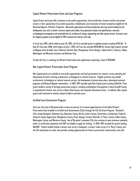#### Capital Historic Preservation Grant and Loan Programs

Capital Grants and Loans offer assistance to non-profit organizations, local jurisdictions, business entities and private citizens in their sponsorship of successful acquisition, rehabilitation and restoration of historic properties eligible for the Maryland Register of Historic Properties. Non-profit organizations and local jurisdictions also may receive funding for predevelopment costs such as historic structure reports and studies, the preparation of plans and specifications, necessary archaeological investigations and reasonable fees for architectural, design, engineering and other special services. Structures used for religious purposes may be eligible for MHT assistance for exterior work only.

In fiscal year 2005, which ended on June 30, 2005, the Trust awarded grants to eighteen projects totaling \$748,463. To date for fiscal year 2006, which began on July 1, 2005, the Trust has awarded \$928,800 for twenty-eight projects located in Allegany, Anne Arundel, Cecil, Frederick, Harford, Kent, Montgomery, Prince George's, Queen Anne's, Somerset, Talbot, Washington and Wicomico Counties and Baltimore City.

To-date the Trust is reviewing two Historic Preservation Loan applications requesting a total of \$700,000.

#### Non-Capital Historic Preservation Grant Program

Non-Capital grants are available to non-profit organizations and local governments for research, survey, planning and educational activities involving architectural, archeological or cultural resources. Eligible activities may include architectural, archeological or cultural resource surveys, the development of preservation plans, educational outreach programs and National Register nominations. In 2005, MHT awarded eight Non-Capital grants totaling \$166,676. These grants funded a variety of heritage preservation projects, including archeological investigations in Anne Arundel County, a comprehensive historic sites survey in Queen Anne County, and statewide educational events. In addition, Non-Capital grants staff continued to monitor projects funded in previous years.

#### Certified Local Government Program

Each year, the State of Maryland makes at least ten percent of its annual apportionment of the federal Historic Preservation Fund available to Certified Local Governments (CLGs) through the CLG Sub Grant Program. Maryland's CLGs include Annapolis, Baltimore City, Baltimore County, Bel Air, Calvert County, Chestertown, Cumberland, Frederick, Frederick County, Hagerstown, Montgomery County, Prince George's County, Rockville, St. Mary's County, Talbot County, Washington County, and Wicomico County. Any of Maryland's seventeen CLGs that continue to meet minimum standards under its certification agreement with MHT are eligible to apply for funding. In 2005, MHT awarded five grants totaling \$60,809. Projects funded include a historic sites survey in Annapolis, a historic roads survey in St. Mary's County, and the CLG educational set aside, that provides training opportunities for historic preservation commissioners and staff.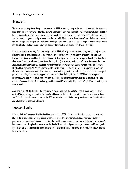# Heritage Planning and Outreach

# Heritage Areas

The Maryland Heritage Areas Program was created in 1996 to leverage compatible State and non-State investment to protect and enhance Maryland's historical, cultural and natural resources. To participate in the program, partnerships of local government and private sector interests must complete and adopt a prescriptive management plan and create and sustain a local management entity to implement the plan, with 50-50 cost-sharing with the State. Unlike other state and federal heritage area designations, Maryland's heritage areas may be described as "heritage enterprise zones" where investment is targeted into defined geographic areas where funding will be most effective, most quickly.

In 2005 the Maryland Heritage Areas Authority awarded \$899,180 in grants to twenty-six programs and projects within nine Certified Heritage Areas including the Anacostia Trails Heritage Area (Prince George's County), the Four Rivers Heritage Area (Anne Arundel County), the Baltimore City Heritage Area, the Heart of Chesapeake Country Heritage Area (Dorchester County), the Lower Eastern Shore Heritage Area (Somerset, Wicomico, and Worcester Counties), the Lower Susquehanna Heritage Greenway (Cecil and Harford Counties), the Montgomery County Heritage Area, the Southern Maryland Heritage Area (St. Mary's, Charles, and Calvert Counties), and the Stories of the Chesapeake Heritage Area (Caroline, Kent, Queen Anne, and Talbot Counties). These matching grants provided funding for capital and non-capital projects, marketing and operating support assistance to Certified Heritage Areas. The 2005 heritage area grants leveraged \$2,981,861 in non-State matching cash and in-kind investment in heritage tourism across the state. Total available Maryland Heritage Areas Authority grant funds in 2005 were \$900,000, for which \$1,970,497 in grant requests were received.

Additionally, in 2005 the Maryland Heritage Areas Authority approved the tenth Certified Heritage Area. The newly certified Stories heritage area entitled Stories of the Chesapeake Heritage Area lies within Kent, Caroline, Queen Anne's, and Talbot Counties. It covers approximately 1200 square miles, and includes twenty-one incorporated municipalities and a host of unincorporated settlements.

#### Preservation Planning

In 2005, MHT Staff completed The Maryland Preservation Plan, 2005. The National Park Service mandates that each State Historic Preservation Office prepare a preservation plan. This five-year plan outlines Maryland's statewide preservation goals and priorities and summarizes Maryland financial assistance programs and the status of Maryland's heritage resources. The plan is a resource for Maryland citizens and local governments, consultants and State agencies. In addition, the plan will guide the programs and activities of the Maryland Historical Trust, Maryland's State Historic Preservation Office.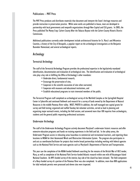#### Publications – MHT Press

The MHT Press produces and distributes materials that document and interpret the State's heritage resources and provide instruction in preservation practice. While some works are published in-house, most are developed in partnership with local governments and nonprofit organizations through Non-Capital and CLG grants. In 2005, the Press published The Money Crop: Calvert County After the Tobacco Buyout with the Calvert County Historic District Commission.

Additional publications currently under development include architectural histories for St. Mary's and Wicomico Counties, a history of the City of Annapolis, a popular report on the archeological investigations at the Benjamin Banneker Homestead, and several archeological reports.

# Archeology

#### Terrestrial Archeology

The staff of the Terrestrial Archeology Program provides the professional expertise in the legislatively mandated identification, documentation and evaluation of archeological sites. The identification and evaluation of archeological sites play a key role in fulfilling the Office of Archeology's other mandates:

- Undertake direct, fundamental research,
- Encourage the preservation of sites,
- Cooperate in the scientific excavation of sites when warranted,
- Cooperate with museums and educational institutions, and
- Establish educational programs to train interested members of the public.

The Terrestrial Program staff completed an archeological survey of the Warfield Complex at the Springfield Hospital Center in Sykesville and continued fieldwork and research for a survey of lands owned by the Department of Natural Resources in the middle Potomac River valley. INSET, PHOTO In addition, the staff managed non-capital grants for survey and field testing; organized and staffed Tuesday lab volunteer activities, served as lead in planning and organizing major outreach events, including the field session, and answered more than 100 inquiries from archeologists, students and the general public requesting professional assistance.

#### Underwater Archeology

The staff of the Underwater Archeology Program actively document Maryland's underwater historic resources and offer extensive education programs and hands-on training experiences in the field and lab. In the safety arena, the Underwater Program assists in relocating areas hazardous to commercial and recreational mariners, and reporting those locations to NOAA for their Automated Wreck and Obstruction Information System. The program also participates in and acts as coordinator/facilitator for projects that involve broad partnerships including working with federal agencies such as the National Park Service and state agencies such as Maryland's Departments of Tourism and Transportation.

This year saw the completion of the NOAA-funded fieldwork searching for the remains of the British War of 1812 tender, Mary, as well as completion of the National Park Service-funded Atlantic research within one mile off Assateague Island National Seashore. An NPS-funded survey of the interior, bay side of the island has been initiated. The field component of a Navy-funded survey of a portion of the Potomac River was also completed. In addition, more than 800 applications for tidal wetlands permits were processed and eleven sites were inspected.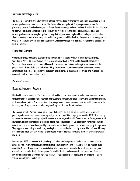# Terrestrial archeology permits

The issuance of terrestrial archeology permits is the primary mechanism for ensuring considerate stewardship of those archeological resources owned by the State. The Terrestrial Archeology Permit Program provides a process for partnership between State land managers, the State Office of Archeology, and those individuals and institutions that seek to excavate State owned archeological sites. Through this regulatory partnership, State land management and archeological expertise are brought together in a way that safeguards our irreplaceable archeological heritage while allowing wise use for researchers, the public, and future generations of Marylanders. Five terrestrial archeology permits were issued this year, for work undertaken at Harford Community College, Fort Frederick, Point of Rocks, and southern Frederick County.

## Educational Outreach

Office of Archeology educational outreach efforts were extensive this year. Primary events were the Archeology Workshop in March, the Spring Symposium in April, Archeology Month in April, and the Annual Field Session in September. These outreach efforts reached hundreds of volunteers, avocational archeologists and members of the general public. The staff also provided at least thirty presentations and/or demonstrations to museums, service organizations, colleges and schools as well as to peers and colleagues at conferences and professional meetings. The underwater staff also consulted on three films.

# Museum Services

### Museum Advancement Program

Maryland is home to more than 220 private nonprofit and local jurisdiction historical and cultural museums. In an effort to encourage and implement important contributions to education, research, conservation, and heritage tourism, the Historical and Cultural Museum Assistance Program provides technical assistance, services, and financial aid in the form of grants. The program is funded through the Maryland Historical Trust Grant Fund.

The program provides Museum Enhancement Grants that support museum operations and activities based on a percentage of the museum's annual operating budget. In Fiscal Year 2006, the program provided \$383,338 in funding to twenty-two museums including the Jewish Museum of Maryland, the Frederick County Historical Society, the Accokeek Foundation, the National Capital Historical Museum of Transportation and the Chesapeake Bay Maritime Museum to name a few. These funds are being used by museums for such critical organizational costs as developing strategic plans. They support a wide variety to public programming from museum/school/community partnerships to National History Day student research. And they will help to protect and preserve historical collections, especially community archival materials.

For fiscal year 2007, the Museum Assistance Program Review Panel comprised of (twelve museum professionals from across the state) recommended major changes to the Museum Program. First, it suggested that the Program be renamed the Museum Advancement Program to better reflect its intention. Secondly, the panel proposed new grant categories to support institutional development for small institutions and to emphasize the role of state funds as investments in museums to leverage non-state funds. Updated procedures and applications are available on the MHT website for next year's grant round.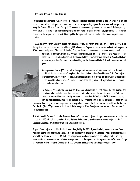#### Jefferson Patterson Park and Museum

Jefferson Patterson Park and Museum (JPPM) is a Maryland state museum of history and archeology whose mission is to preserve, research, and interpret the diverse cultures of the Chesapeake Bay region. Located on a 560-acre property along the Patuxent River in Calvert County, JPPM contains more than seventy documented archeological sites spanning 9,000 years and is listed on the National Register of Historic Places. The rich archeological, agricultural, and historical resources of the property are interpreted to the public through a wide range of exhibits, educational programs, and services.

In 2005, the JPPM Visitors Center welcomed more than 18,500 day-use visitors and hosted an additional 5,000 visitors during its annual heritage festivals. In addition, JPPM's Education Program presented on-site and outreach programs to 3,200 students and parents. The Public Archeology Program allowed 189 volunteers and students the opportunity to

participate in an excavation on site. Projects completed in 2005 include construction of a Woodland Indian Hamlet used for educational programs, development of three traveling trunks on Eastern Woodland Indians in Maryland, creation of a visitor orientation video, and development of Point Trail and a new map and trail guide.

Although undertaken by JPPM staff, all of these projects were supported with non-state funds. In addition, JPPM Facilities Maintenance staff completed the SHA-funded extension of the Riverside Trail. This project extended the trail 1,200 feet by the installation of geotextile cloth to protect potential future archaeological exploration of the affected areas. Six-inches of gravel, followed by a two-inch layer of one-inch bluestone, completed the trail surface.

The Maryland Archaeological Conservation (MAC) Lab, administered by JPPM, houses the state's archeology collections, which includes more than 7 million objects, collected over the past 100 years. The MAC Lab serves as the statewide support facility for artifact conservation. In 2005, the MAC Lab received funding

from the National Endowment for the Humanities (\$150,481) to digitize the photographic and paper archives from more than thirty of the most important archaeological collections in the State's possession, and from the National Park Service (\$316,000) to conserve Hurricane Isabel-damaged artifacts from Jamestown and a shot furnace from Ft. Jefferson in Florida.

Artifacts from Mt. Vernon, Monticello, Benjamin Banneker's home, and St. John's College also were conserved at the Lab. In addition, MAC Lab staff completed work on a National Endowment for the Humanities-funded project entitle: "A Comparative Archaeological Study of Colonial Chesapeake Culture."

As part of this project, a multi-institutional consortium, led by the MAC Lab, examined eighteen colonial sites from Maryland and Virginia and created a database of the findings from these sites. A web page devoted to the project will be accessible by the end of the year. MAC Lab staff also provided practicing professional and college student training opportunities in conservation and collection management topics through cooperative agreements with St. Mary's College, the Maryland Higher Education Commission IMPART program, and sponsored workshops throughout 2005.